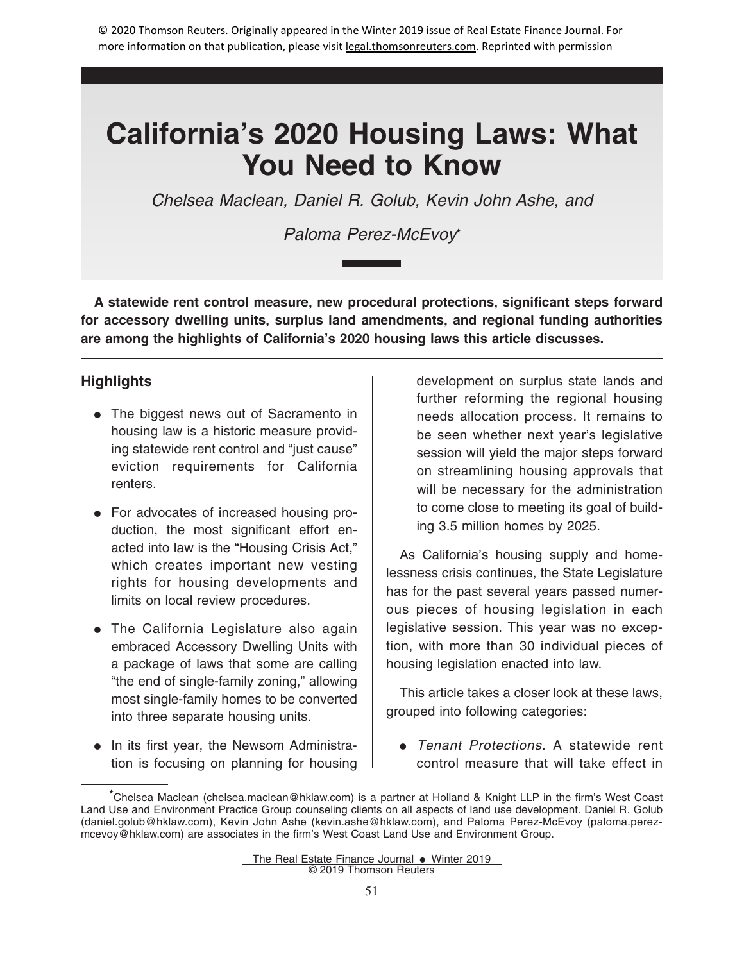Chelsea Maclean, Daniel R. Golub, Kevin John Ashe, and

# Paloma Perez-McEvoy**\***

**A statewide rent control measure, new procedural protections, significant steps forward for accessory dwelling units, surplus land amendments, and regional funding authorities are among the highlights of California's 2020 housing laws this article discusses.**

## **Highlights**

- The biggest news out of Sacramento in housing law is a historic measure providing statewide rent control and "just cause" eviction requirements for California renters.
- For advocates of increased housing production, the most significant effort enacted into law is the "Housing Crisis Act," which creates important new vesting rights for housing developments and limits on local review procedures.
- The California Legislature also again embraced Accessory Dwelling Units with a package of laws that some are calling "the end of single-family zoning," allowing most single-family homes to be converted into three separate housing units.
- In its first year, the Newsom Administration is focusing on planning for housing

development on surplus state lands and further reforming the regional housing needs allocation process. It remains to be seen whether next year's legislative session will yield the major steps forward on streamlining housing approvals that will be necessary for the administration to come close to meeting its goal of building 3.5 million homes by 2025.

As California's housing supply and homelessness crisis continues, the State Legislature has for the past several years passed numerous pieces of housing legislation in each legislative session. This year was no exception, with more than 30 individual pieces of housing legislation enacted into law.

This article takes a closer look at these laws, grouped into following categories:

• Tenant Protections. A statewide rent control measure that will take effect in

**<sup>\*</sup>**Chelsea Maclean (chelsea.maclean@hklaw.com) is a partner at Holland & Knight LLP in the firm's West Coast Land Use and Environment Practice Group counseling clients on all aspects of land use development. Daniel R. Golub (daniel.golub@hklaw.com), Kevin John Ashe (kevin.ashe@hklaw.com), and Paloma Perez-McEvoy (paloma.perezmcevoy@hklaw.com) are associates in the firm's West Coast Land Use and Environment Group.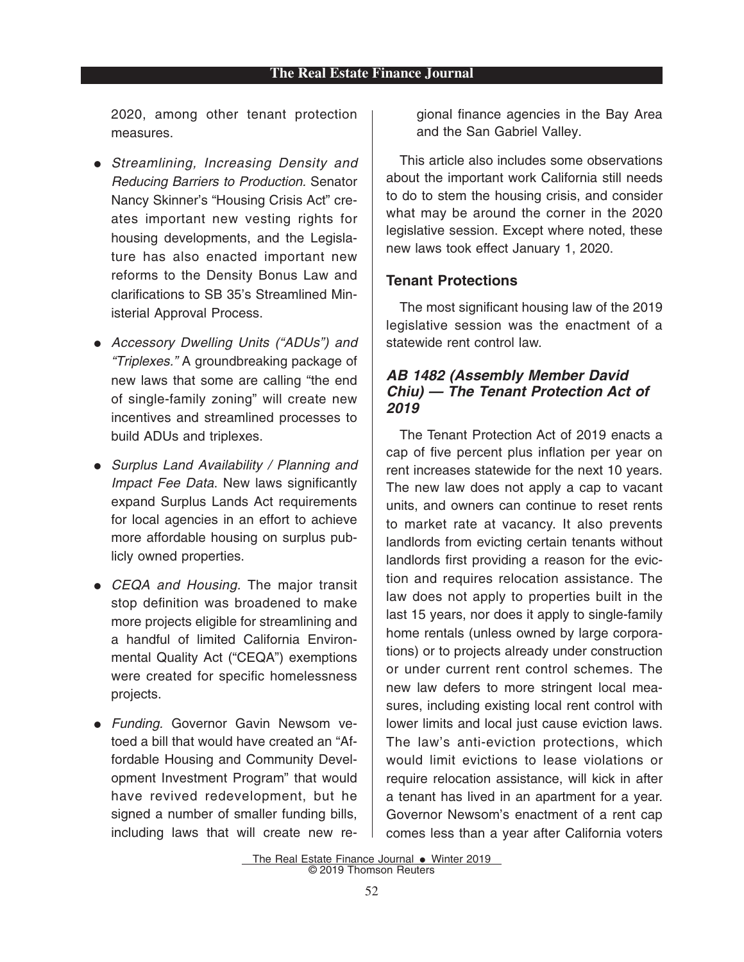2020, among other tenant protection measures.

- Streamlining, Increasing Density and Reducing Barriers to Production. Senator Nancy Skinner's "Housing Crisis Act" creates important new vesting rights for housing developments, and the Legislature has also enacted important new reforms to the Density Bonus Law and clarifications to SB 35's Streamlined Ministerial Approval Process.
- Accessory Dwelling Units ("ADUs") and "Triplexes." A groundbreaking package of new laws that some are calling "the end of single-family zoning" will create new incentives and streamlined processes to build ADUs and triplexes.
- Surplus Land Availability / Planning and Impact Fee Data. New laws significantly expand Surplus Lands Act requirements for local agencies in an effort to achieve more affordable housing on surplus publicly owned properties.
- CEQA and Housing. The major transit stop definition was broadened to make more projects eligible for streamlining and a handful of limited California Environmental Quality Act ("CEQA") exemptions were created for specific homelessness projects.
- Funding. Governor Gavin Newsom vetoed a bill that would have created an "Affordable Housing and Community Development Investment Program" that would have revived redevelopment, but he signed a number of smaller funding bills, including laws that will create new re-

gional finance agencies in the Bay Area and the San Gabriel Valley.

This article also includes some observations about the important work California still needs to do to stem the housing crisis, and consider what may be around the corner in the 2020 legislative session. Except where noted, these new laws took effect January 1, 2020.

#### **Tenant Protections**

The most significant housing law of the 2019 legislative session was the enactment of a statewide rent control law.

#### *AB 1482 (Assembly Member David Chiu) — The Tenant Protection Act of 2019*

The Tenant Protection Act of 2019 enacts a cap of five percent plus inflation per year on rent increases statewide for the next 10 years. The new law does not apply a cap to vacant units, and owners can continue to reset rents to market rate at vacancy. It also prevents landlords from evicting certain tenants without landlords first providing a reason for the eviction and requires relocation assistance. The law does not apply to properties built in the last 15 years, nor does it apply to single-family home rentals (unless owned by large corporations) or to projects already under construction or under current rent control schemes. The new law defers to more stringent local measures, including existing local rent control with lower limits and local just cause eviction laws. The law's anti-eviction protections, which would limit evictions to lease violations or require relocation assistance, will kick in after a tenant has lived in an apartment for a year. Governor Newsom's enactment of a rent cap comes less than a year after California voters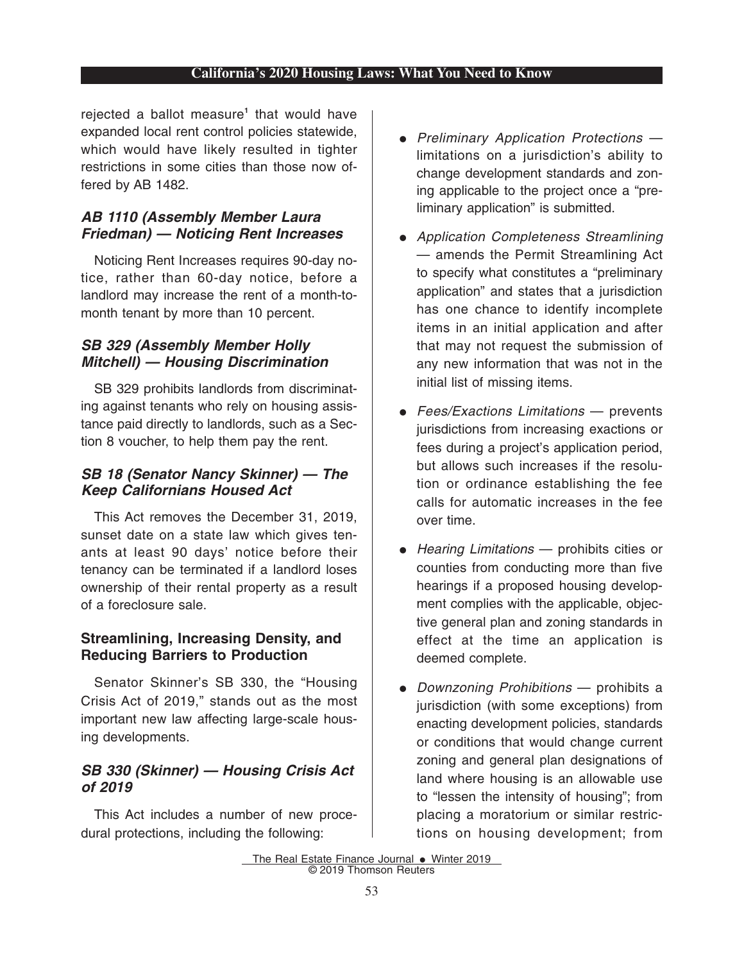rejected a ballot measure**<sup>1</sup>** that would have expanded local rent control policies statewide, which would have likely resulted in tighter restrictions in some cities than those now offered by AB 1482.

## *AB 1110 (Assembly Member Laura Friedman) — Noticing Rent Increases*

Noticing Rent Increases requires 90-day notice, rather than 60-day notice, before a landlord may increase the rent of a month-tomonth tenant by more than 10 percent.

## *SB 329 (Assembly Member Holly Mitchell) — Housing Discrimination*

SB 329 prohibits landlords from discriminating against tenants who rely on housing assistance paid directly to landlords, such as a Section 8 voucher, to help them pay the rent.

## *SB 18 (Senator Nancy Skinner) — The Keep Californians Housed Act*

This Act removes the December 31, 2019, sunset date on a state law which gives tenants at least 90 days' notice before their tenancy can be terminated if a landlord loses ownership of their rental property as a result of a foreclosure sale.

## **Streamlining, Increasing Density, and Reducing Barriers to Production**

Senator Skinner's SB 330, the "Housing Crisis Act of 2019," stands out as the most important new law affecting large-scale housing developments.

## *SB 330 (Skinner) — Housing Crisis Act of 2019*

This Act includes a number of new procedural protections, including the following:

- Preliminary Application Protections limitations on a jurisdiction's ability to change development standards and zoning applicable to the project once a "preliminary application" is submitted.
- Application Completeness Streamlining — amends the Permit Streamlining Act to specify what constitutes a "preliminary application" and states that a jurisdiction has one chance to identify incomplete items in an initial application and after that may not request the submission of any new information that was not in the initial list of missing items.
- $\bullet$  Fees/Exactions Limitations prevents jurisdictions from increasing exactions or fees during a project's application period, but allows such increases if the resolution or ordinance establishing the fee calls for automatic increases in the fee over time.
- $\bullet$  Hearing Limitations  $-$  prohibits cities or counties from conducting more than five hearings if a proposed housing development complies with the applicable, objective general plan and zoning standards in effect at the time an application is deemed complete.
- Downzoning Prohibitions prohibits a jurisdiction (with some exceptions) from enacting development policies, standards or conditions that would change current zoning and general plan designations of land where housing is an allowable use to "lessen the intensity of housing"; from placing a moratorium or similar restrictions on housing development; from

The Real Estate Finance Journal  $\bullet$  Winter 2019 © 2019 Thomson Reuters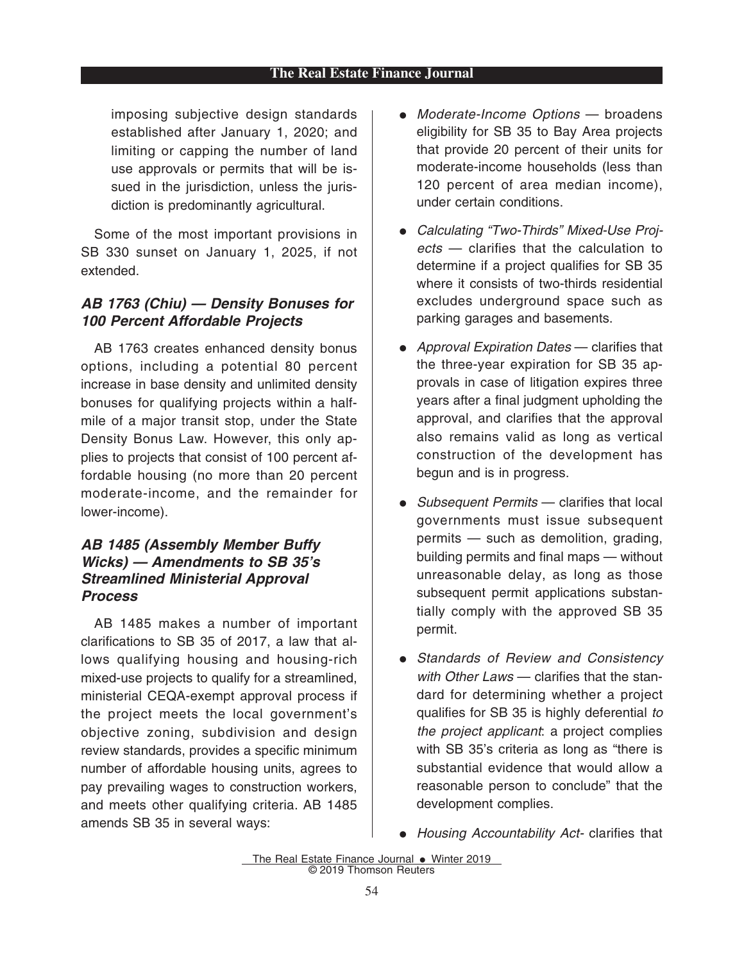#### **The Real Estate Finance Journal**

imposing subjective design standards established after January 1, 2020; and limiting or capping the number of land use approvals or permits that will be issued in the jurisdiction, unless the jurisdiction is predominantly agricultural.

Some of the most important provisions in SB 330 sunset on January 1, 2025, if not extended.

## *AB 1763 (Chiu) — Density Bonuses for 100 Percent Affordable Projects*

AB 1763 creates enhanced density bonus options, including a potential 80 percent increase in base density and unlimited density bonuses for qualifying projects within a halfmile of a major transit stop, under the State Density Bonus Law. However, this only applies to projects that consist of 100 percent affordable housing (no more than 20 percent moderate-income, and the remainder for lower-income).

## *AB 1485 (Assembly Member Buffy Wicks) — Amendments to SB 35's Streamlined Ministerial Approval Process*

AB 1485 makes a number of important clarifications to SB 35 of 2017, a law that allows qualifying housing and housing-rich mixed-use projects to qualify for a streamlined, ministerial CEQA-exempt approval process if the project meets the local government's objective zoning, subdivision and design review standards, provides a specific minimum number of affordable housing units, agrees to pay prevailing wages to construction workers, and meets other qualifying criteria. AB 1485 amends SB 35 in several ways:

- Moderate-Income Options broadens eligibility for SB 35 to Bay Area projects that provide 20 percent of their units for moderate-income households (less than 120 percent of area median income), under certain conditions.
- Calculating "Two-Thirds" Mixed-Use Projects — clarifies that the calculation to determine if a project qualifies for SB 35 where it consists of two-thirds residential excludes underground space such as parking garages and basements.
- Approval Expiration Dates clarifies that the three-year expiration for SB 35 approvals in case of litigation expires three years after a final judgment upholding the approval, and clarifies that the approval also remains valid as long as vertical construction of the development has begun and is in progress.
- $\bullet$  Subsequent Permits  $-$  clarifies that local governments must issue subsequent permits — such as demolition, grading, building permits and final maps — without unreasonable delay, as long as those subsequent permit applications substantially comply with the approved SB 35 permit.
- Standards of Review and Consistency with Other Laws — clarifies that the standard for determining whether a project qualifies for SB 35 is highly deferential to the project applicant: a project complies with SB 35's criteria as long as "there is substantial evidence that would allow a reasonable person to conclude" that the development complies.
- Housing Accountability Act- clarifies that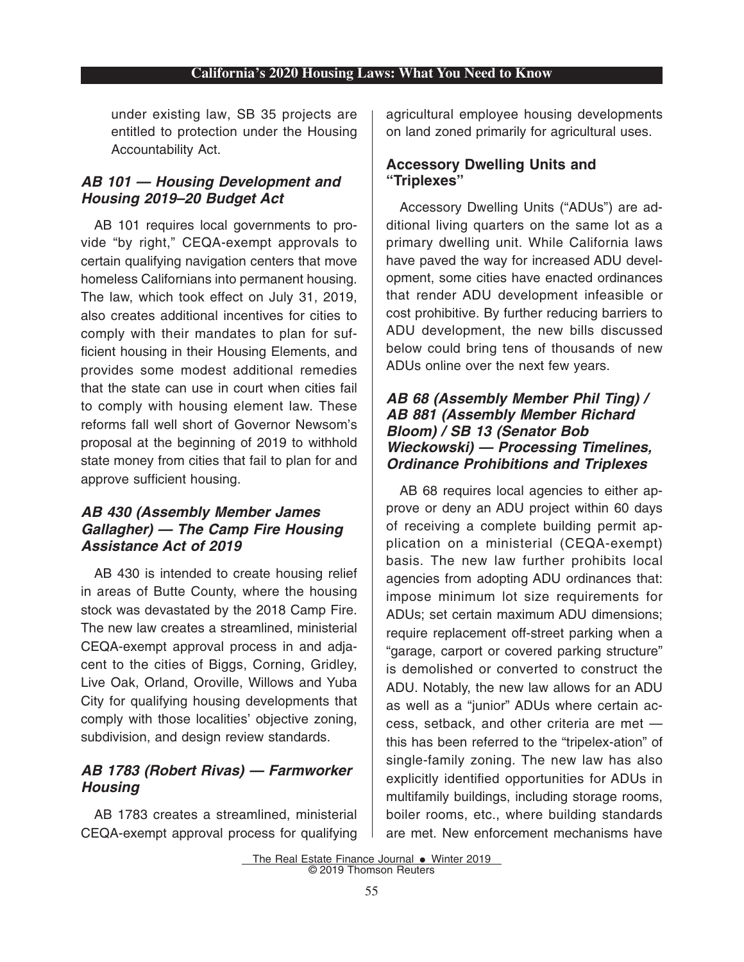under existing law, SB 35 projects are entitled to protection under the Housing Accountability Act.

#### *AB 101 — Housing Development and Housing 2019–20 Budget Act*

AB 101 requires local governments to provide "by right," CEQA-exempt approvals to certain qualifying navigation centers that move homeless Californians into permanent housing. The law, which took effect on July 31, 2019, also creates additional incentives for cities to comply with their mandates to plan for sufficient housing in their Housing Elements, and provides some modest additional remedies that the state can use in court when cities fail to comply with housing element law. These reforms fall well short of Governor Newsom's proposal at the beginning of 2019 to withhold state money from cities that fail to plan for and approve sufficient housing.

#### *AB 430 (Assembly Member James Gallagher) — The Camp Fire Housing Assistance Act of 2019*

AB 430 is intended to create housing relief in areas of Butte County, where the housing stock was devastated by the 2018 Camp Fire. The new law creates a streamlined, ministerial CEQA-exempt approval process in and adjacent to the cities of Biggs, Corning, Gridley, Live Oak, Orland, Oroville, Willows and Yuba City for qualifying housing developments that comply with those localities' objective zoning, subdivision, and design review standards.

## *AB 1783 (Robert Rivas) — Farmworker Housing*

AB 1783 creates a streamlined, ministerial CEQA-exempt approval process for qualifying agricultural employee housing developments on land zoned primarily for agricultural uses.

#### **Accessory Dwelling Units and "Triplexes"**

Accessory Dwelling Units ("ADUs") are additional living quarters on the same lot as a primary dwelling unit. While California laws have paved the way for increased ADU development, some cities have enacted ordinances that render ADU development infeasible or cost prohibitive. By further reducing barriers to ADU development, the new bills discussed below could bring tens of thousands of new ADUs online over the next few years.

#### *AB 68 (Assembly Member Phil Ting) / AB 881 (Assembly Member Richard Bloom) / SB 13 (Senator Bob Wieckowski) — Processing Timelines, Ordinance Prohibitions and Triplexes*

AB 68 requires local agencies to either approve or deny an ADU project within 60 days of receiving a complete building permit application on a ministerial (CEQA-exempt) basis. The new law further prohibits local agencies from adopting ADU ordinances that: impose minimum lot size requirements for ADUs; set certain maximum ADU dimensions; require replacement off-street parking when a "garage, carport or covered parking structure" is demolished or converted to construct the ADU. Notably, the new law allows for an ADU as well as a "junior" ADUs where certain access, setback, and other criteria are met this has been referred to the "tripelex-ation" of single-family zoning. The new law has also explicitly identified opportunities for ADUs in multifamily buildings, including storage rooms, boiler rooms, etc., where building standards are met. New enforcement mechanisms have

The Real Estate Finance Journal  $\bullet$  Winter 2019 © 2019 Thomson Reuters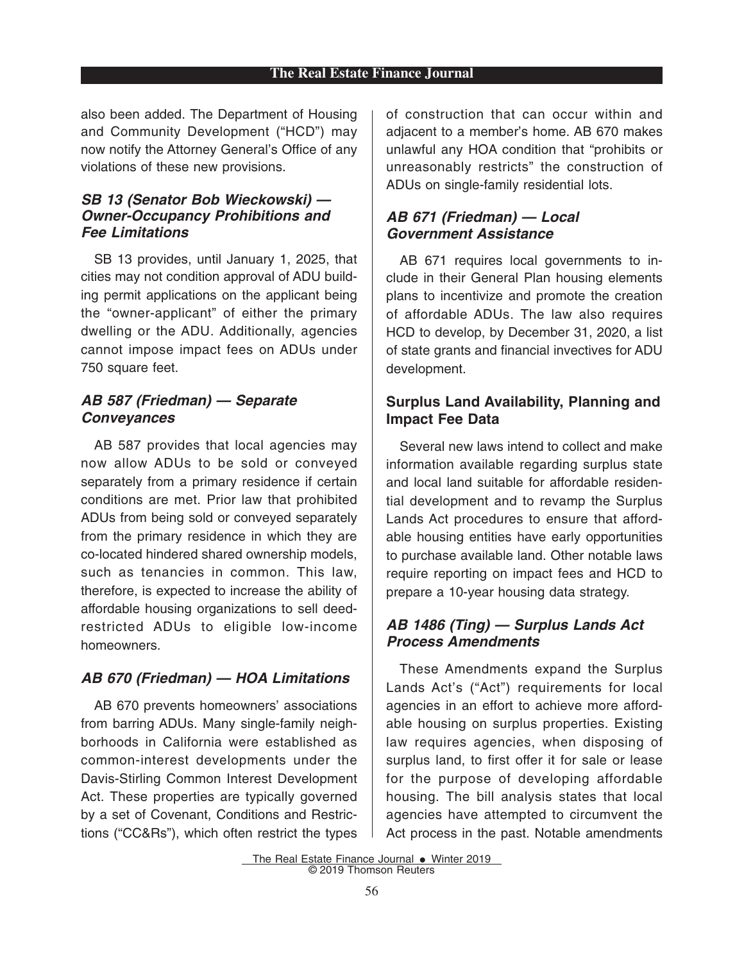#### **The Real Estate Finance Journal**

also been added. The Department of Housing and Community Development ("HCD") may now notify the Attorney General's Office of any violations of these new provisions.

#### *SB 13 (Senator Bob Wieckowski) — Owner-Occupancy Prohibitions and Fee Limitations*

SB 13 provides, until January 1, 2025, that cities may not condition approval of ADU building permit applications on the applicant being the "owner-applicant" of either the primary dwelling or the ADU. Additionally, agencies cannot impose impact fees on ADUs under 750 square feet.

#### *AB 587 (Friedman) — Separate Conveyances*

AB 587 provides that local agencies may now allow ADUs to be sold or conveyed separately from a primary residence if certain conditions are met. Prior law that prohibited ADUs from being sold or conveyed separately from the primary residence in which they are co-located hindered shared ownership models, such as tenancies in common. This law, therefore, is expected to increase the ability of affordable housing organizations to sell deedrestricted ADUs to eligible low-income homeowners.

## *AB 670 (Friedman) — HOA Limitations*

AB 670 prevents homeowners' associations from barring ADUs. Many single-family neighborhoods in California were established as common-interest developments under the Davis-Stirling Common Interest Development Act. These properties are typically governed by a set of Covenant, Conditions and Restrictions ("CC&Rs"), which often restrict the types of construction that can occur within and adjacent to a member's home. AB 670 makes unlawful any HOA condition that "prohibits or unreasonably restricts" the construction of ADUs on single-family residential lots.

#### *AB 671 (Friedman) — Local Government Assistance*

AB 671 requires local governments to include in their General Plan housing elements plans to incentivize and promote the creation of affordable ADUs. The law also requires HCD to develop, by December 31, 2020, a list of state grants and financial invectives for ADU development.

## **Surplus Land Availability, Planning and Impact Fee Data**

Several new laws intend to collect and make information available regarding surplus state and local land suitable for affordable residential development and to revamp the Surplus Lands Act procedures to ensure that affordable housing entities have early opportunities to purchase available land. Other notable laws require reporting on impact fees and HCD to prepare a 10-year housing data strategy.

## *AB 1486 (Ting) — Surplus Lands Act Process Amendments*

These Amendments expand the Surplus Lands Act's ("Act") requirements for local agencies in an effort to achieve more affordable housing on surplus properties. Existing law requires agencies, when disposing of surplus land, to first offer it for sale or lease for the purpose of developing affordable housing. The bill analysis states that local agencies have attempted to circumvent the Act process in the past. Notable amendments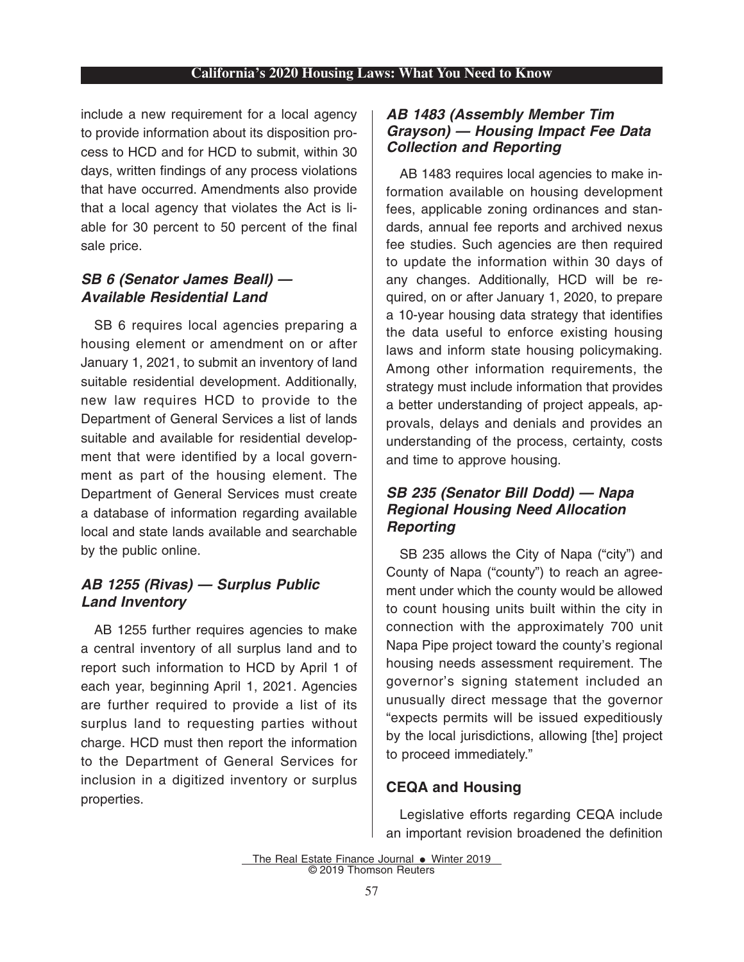include a new requirement for a local agency to provide information about its disposition process to HCD and for HCD to submit, within 30 days, written findings of any process violations that have occurred. Amendments also provide that a local agency that violates the Act is liable for 30 percent to 50 percent of the final sale price.

## *SB 6 (Senator James Beall) — Available Residential Land*

SB 6 requires local agencies preparing a housing element or amendment on or after January 1, 2021, to submit an inventory of land suitable residential development. Additionally, new law requires HCD to provide to the Department of General Services a list of lands suitable and available for residential development that were identified by a local government as part of the housing element. The Department of General Services must create a database of information regarding available local and state lands available and searchable by the public online.

## *AB 1255 (Rivas) — Surplus Public Land Inventory*

AB 1255 further requires agencies to make a central inventory of all surplus land and to report such information to HCD by April 1 of each year, beginning April 1, 2021. Agencies are further required to provide a list of its surplus land to requesting parties without charge. HCD must then report the information to the Department of General Services for inclusion in a digitized inventory or surplus properties.

## *AB 1483 (Assembly Member Tim Grayson) — Housing Impact Fee Data Collection and Reporting*

AB 1483 requires local agencies to make information available on housing development fees, applicable zoning ordinances and standards, annual fee reports and archived nexus fee studies. Such agencies are then required to update the information within 30 days of any changes. Additionally, HCD will be required, on or after January 1, 2020, to prepare a 10-year housing data strategy that identifies the data useful to enforce existing housing laws and inform state housing policymaking. Among other information requirements, the strategy must include information that provides a better understanding of project appeals, approvals, delays and denials and provides an understanding of the process, certainty, costs and time to approve housing.

## *SB 235 (Senator Bill Dodd) — Napa Regional Housing Need Allocation Reporting*

SB 235 allows the City of Napa ("city") and County of Napa ("county") to reach an agreement under which the county would be allowed to count housing units built within the city in connection with the approximately 700 unit Napa Pipe project toward the county's regional housing needs assessment requirement. The governor's signing statement included an unusually direct message that the governor "expects permits will be issued expeditiously by the local jurisdictions, allowing [the] project to proceed immediately."

## **CEQA and Housing**

Legislative efforts regarding CEQA include an important revision broadened the definition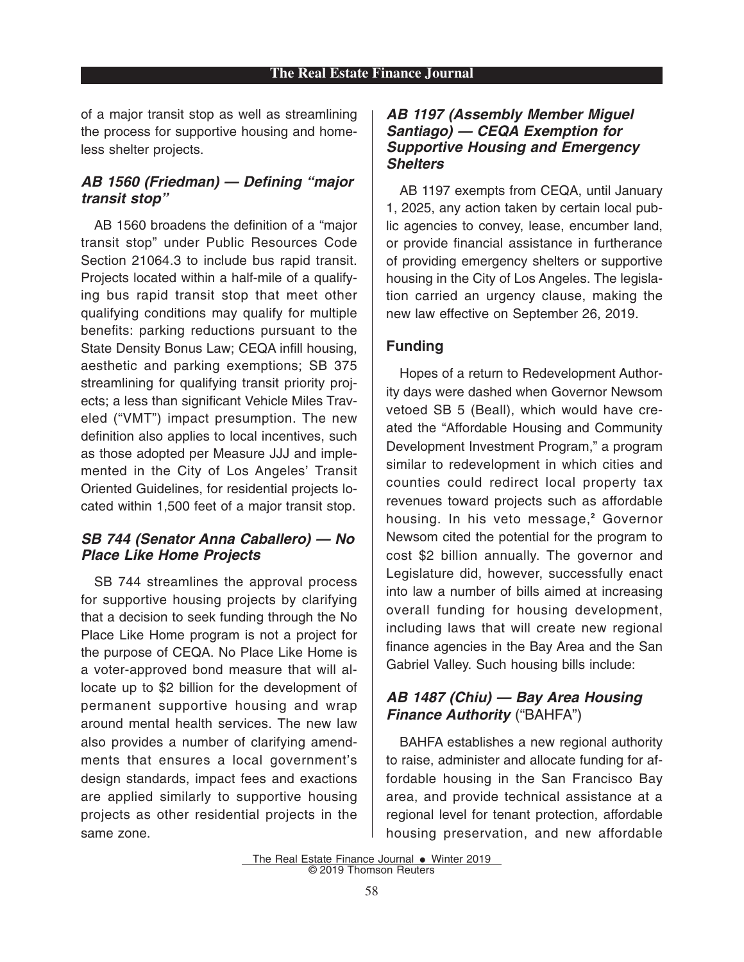of a major transit stop as well as streamlining the process for supportive housing and homeless shelter projects.

## *AB 1560 (Friedman) — Defining "major transit stop"*

AB 1560 broadens the definition of a "major transit stop" under Public Resources Code Section 21064.3 to include bus rapid transit. Projects located within a half-mile of a qualifying bus rapid transit stop that meet other qualifying conditions may qualify for multiple benefits: parking reductions pursuant to the State Density Bonus Law; CEQA infill housing, aesthetic and parking exemptions; SB 375 streamlining for qualifying transit priority projects; a less than significant Vehicle Miles Traveled ("VMT") impact presumption. The new definition also applies to local incentives, such as those adopted per Measure JJJ and implemented in the City of Los Angeles' Transit Oriented Guidelines, for residential projects located within 1,500 feet of a major transit stop.

#### *SB 744 (Senator Anna Caballero) — No Place Like Home Projects*

SB 744 streamlines the approval process for supportive housing projects by clarifying that a decision to seek funding through the No Place Like Home program is not a project for the purpose of CEQA. No Place Like Home is a voter-approved bond measure that will allocate up to \$2 billion for the development of permanent supportive housing and wrap around mental health services. The new law also provides a number of clarifying amendments that ensures a local government's design standards, impact fees and exactions are applied similarly to supportive housing projects as other residential projects in the same zone.

#### *AB 1197 (Assembly Member Miguel Santiago) — CEQA Exemption for Supportive Housing and Emergency Shelters*

AB 1197 exempts from CEQA, until January 1, 2025, any action taken by certain local public agencies to convey, lease, encumber land, or provide financial assistance in furtherance of providing emergency shelters or supportive housing in the City of Los Angeles. The legislation carried an urgency clause, making the new law effective on September 26, 2019.

## **Funding**

Hopes of a return to Redevelopment Authority days were dashed when Governor Newsom vetoed SB 5 (Beall), which would have created the "Affordable Housing and Community Development Investment Program," a program similar to redevelopment in which cities and counties could redirect local property tax revenues toward projects such as affordable housing. In his veto message,**<sup>2</sup>** Governor Newsom cited the potential for the program to cost \$2 billion annually. The governor and Legislature did, however, successfully enact into law a number of bills aimed at increasing overall funding for housing development, including laws that will create new regional finance agencies in the Bay Area and the San Gabriel Valley. Such housing bills include:

## *AB 1487 (Chiu) — Bay Area Housing Finance Authority* ("BAHFA")

BAHFA establishes a new regional authority to raise, administer and allocate funding for affordable housing in the San Francisco Bay area, and provide technical assistance at a regional level for tenant protection, affordable housing preservation, and new affordable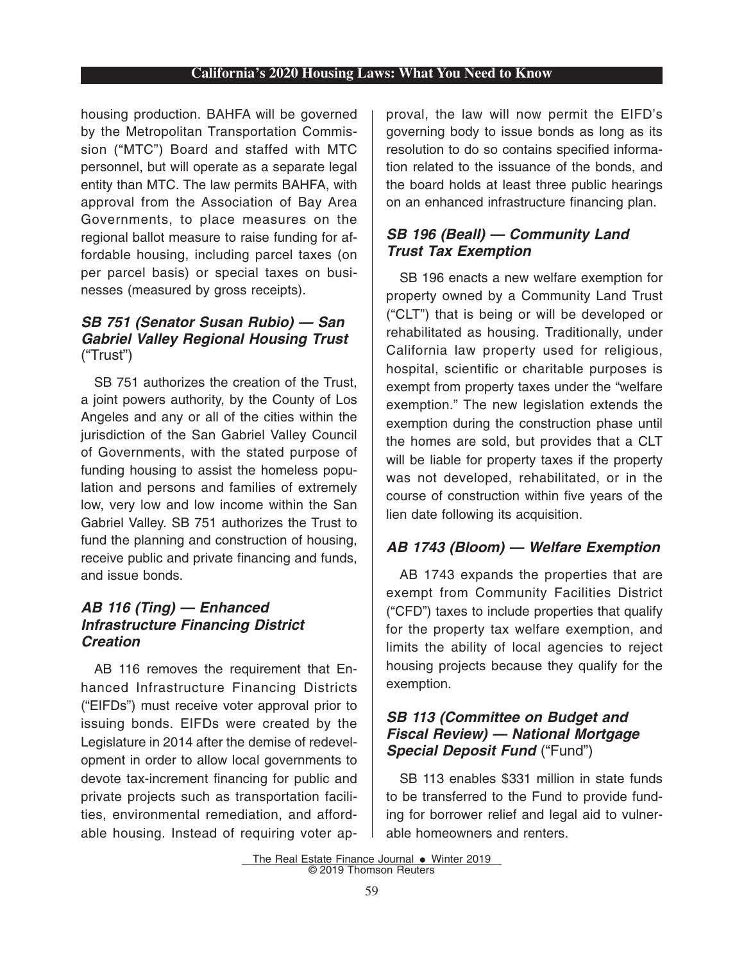housing production. BAHFA will be governed by the Metropolitan Transportation Commission ("MTC") Board and staffed with MTC personnel, but will operate as a separate legal entity than MTC. The law permits BAHFA, with approval from the Association of Bay Area Governments, to place measures on the regional ballot measure to raise funding for affordable housing, including parcel taxes (on per parcel basis) or special taxes on businesses (measured by gross receipts).

#### *SB 751 (Senator Susan Rubio) — San Gabriel Valley Regional Housing Trust* ("Trust")

SB 751 authorizes the creation of the Trust, a joint powers authority, by the County of Los Angeles and any or all of the cities within the jurisdiction of the San Gabriel Valley Council of Governments, with the stated purpose of funding housing to assist the homeless population and persons and families of extremely low, very low and low income within the San Gabriel Valley. SB 751 authorizes the Trust to fund the planning and construction of housing, receive public and private financing and funds, and issue bonds.

#### *AB 116 (Ting) — Enhanced Infrastructure Financing District Creation*

AB 116 removes the requirement that Enhanced Infrastructure Financing Districts ("EIFDs") must receive voter approval prior to issuing bonds. EIFDs were created by the Legislature in 2014 after the demise of redevelopment in order to allow local governments to devote tax-increment financing for public and private projects such as transportation facilities, environmental remediation, and affordable housing. Instead of requiring voter approval, the law will now permit the EIFD's governing body to issue bonds as long as its resolution to do so contains specified information related to the issuance of the bonds, and the board holds at least three public hearings on an enhanced infrastructure financing plan.

## *SB 196 (Beall) — Community Land Trust Tax Exemption*

SB 196 enacts a new welfare exemption for property owned by a Community Land Trust ("CLT") that is being or will be developed or rehabilitated as housing. Traditionally, under California law property used for religious, hospital, scientific or charitable purposes is exempt from property taxes under the "welfare exemption." The new legislation extends the exemption during the construction phase until the homes are sold, but provides that a CLT will be liable for property taxes if the property was not developed, rehabilitated, or in the course of construction within five years of the lien date following its acquisition.

## *AB 1743 (Bloom) — Welfare Exemption*

AB 1743 expands the properties that are exempt from Community Facilities District ("CFD") taxes to include properties that qualify for the property tax welfare exemption, and limits the ability of local agencies to reject housing projects because they qualify for the exemption.

#### *SB 113 (Committee on Budget and Fiscal Review) — National Mortgage Special Deposit Fund* ("Fund")

SB 113 enables \$331 million in state funds to be transferred to the Fund to provide funding for borrower relief and legal aid to vulnerable homeowners and renters.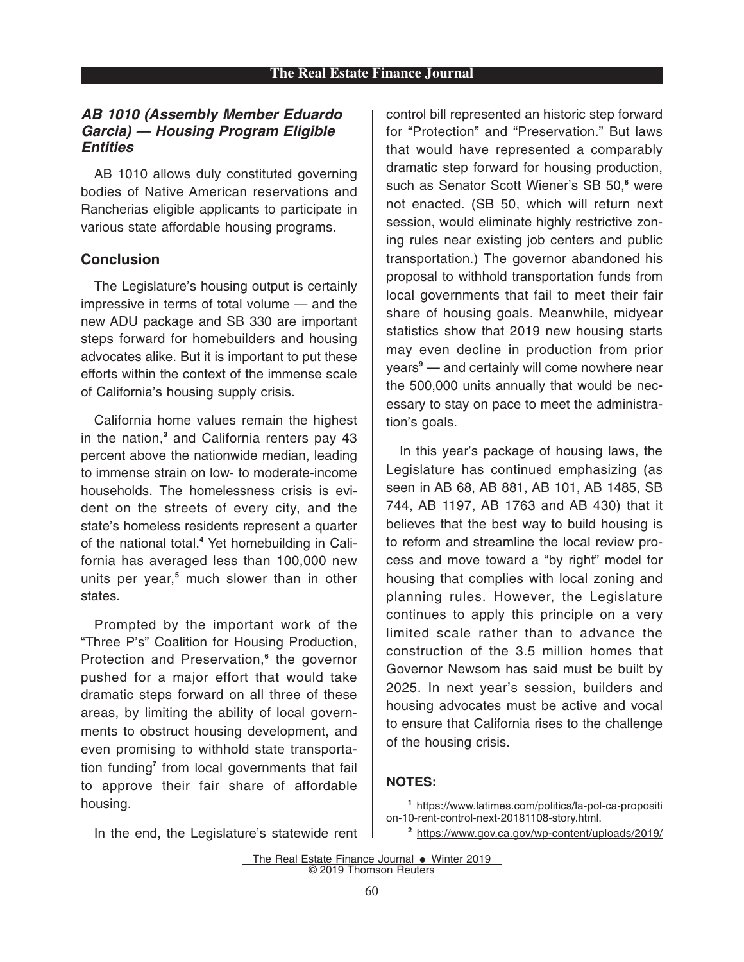#### *AB 1010 (Assembly Member Eduardo Garcia) — Housing Program Eligible Entities*

AB 1010 allows duly constituted governing bodies of Native American reservations and Rancherias eligible applicants to participate in various state affordable housing programs.

#### **Conclusion**

The Legislature's housing output is certainly impressive in terms of total volume — and the new ADU package and SB 330 are important steps forward for homebuilders and housing advocates alike. But it is important to put these efforts within the context of the immense scale of California's housing supply crisis.

California home values remain the highest in the nation,**<sup>3</sup>** and California renters pay 43 percent above the nationwide median, leading to immense strain on low- to moderate-income households. The homelessness crisis is evident on the streets of every city, and the state's homeless residents represent a quarter of the national total.**<sup>4</sup>** Yet homebuilding in California has averaged less than 100,000 new units per year,**<sup>5</sup>** much slower than in other states.

Prompted by the important work of the "Three P's" Coalition for Housing Production, Protection and Preservation,**<sup>6</sup>** the governor pushed for a major effort that would take dramatic steps forward on all three of these areas, by limiting the ability of local governments to obstruct housing development, and even promising to withhold state transportation funding**<sup>7</sup>** from local governments that fail to approve their fair share of affordable housing.

control bill represented an historic step forward for "Protection" and "Preservation." But laws that would have represented a comparably dramatic step forward for housing production, such as Senator Scott Wiener's SB 50,**<sup>8</sup>** were not enacted. (SB 50, which will return next session, would eliminate highly restrictive zoning rules near existing job centers and public transportation.) The governor abandoned his proposal to withhold transportation funds from local governments that fail to meet their fair share of housing goals. Meanwhile, midyear statistics show that 2019 new housing starts may even decline in production from prior years**<sup>9</sup>** — and certainly will come nowhere near the 500,000 units annually that would be necessary to stay on pace to meet the administration's goals.

In this year's package of housing laws, the Legislature has continued emphasizing (as seen in AB 68, AB 881, AB 101, AB 1485, SB 744, AB 1197, AB 1763 and AB 430) that it believes that the best way to build housing is to reform and streamline the local review process and move toward a "by right" model for housing that complies with local zoning and planning rules. However, the Legislature continues to apply this principle on a very limited scale rather than to advance the construction of the 3.5 million homes that Governor Newsom has said must be built by 2025. In next year's session, builders and housing advocates must be active and vocal to ensure that California rises to the challenge of the housing crisis.

#### **NOTES:**

- **<sup>1</sup>** https://www.latimes.com/politics/la-pol-ca-propositi on-10-rent-control-next-20181108-story.html.
- In the end, the Legislature's statewide rent
- **<sup>2</sup>** https://www.gov.ca.gov/wp-content/uploads/2019/
- The Real Estate Finance Journal  $\bullet$  Winter 2019 © 2019 Thomson Reuters